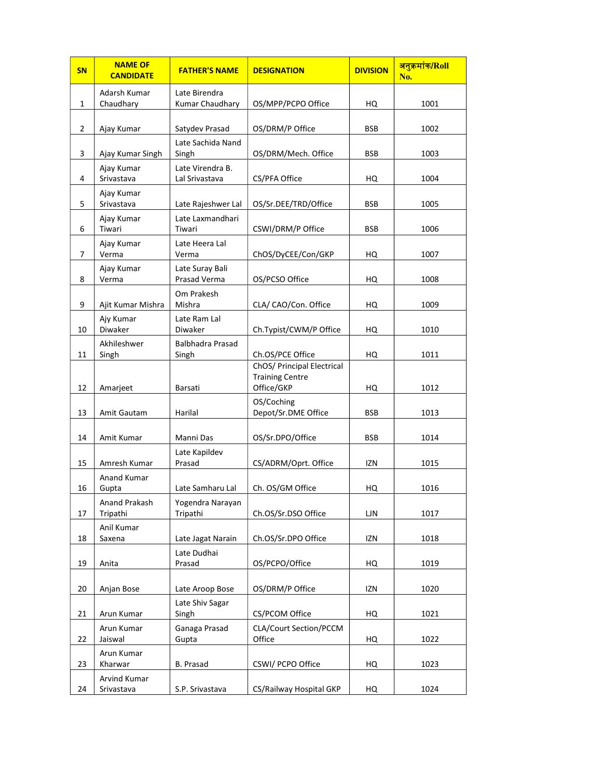| <b>SN</b> | <b>NAME OF</b><br><b>CANDIDATE</b> | <b>FATHER'S NAME</b>               | <b>DESIGNATION</b>                                                 | <b>DIVISION</b> | <mark>अनुक्रमांक/Roll</mark><br>No. |
|-----------|------------------------------------|------------------------------------|--------------------------------------------------------------------|-----------------|-------------------------------------|
| 1         | Adarsh Kumar<br>Chaudhary          | Late Birendra<br>Kumar Chaudhary   | OS/MPP/PCPO Office                                                 | HQ              | 1001                                |
| 2         | Ajay Kumar                         | Satydev Prasad                     | OS/DRM/P Office                                                    | <b>BSB</b>      | 1002                                |
| 3         | Ajay Kumar Singh                   | Late Sachida Nand<br>Singh         | OS/DRM/Mech. Office                                                | <b>BSB</b>      | 1003                                |
| 4         | Ajay Kumar<br>Srivastava           | Late Virendra B.<br>Lal Srivastava | CS/PFA Office                                                      | HQ              | 1004                                |
| 5         | Ajay Kumar<br>Srivastava           | Late Rajeshwer Lal                 | OS/Sr.DEE/TRD/Office                                               | <b>BSB</b>      | 1005                                |
| 6         | Ajay Kumar<br>Tiwari               | Late Laxmandhari<br>Tiwari         | CSWI/DRM/P Office                                                  | <b>BSB</b>      | 1006                                |
| 7         | Ajay Kumar<br>Verma                | Late Heera Lal<br>Verma            | ChOS/DyCEE/Con/GKP                                                 | HQ              | 1007                                |
| 8         | Ajay Kumar<br>Verma                | Late Suray Bali<br>Prasad Verma    | OS/PCSO Office                                                     | HQ              | 1008                                |
| 9         | Ajit Kumar Mishra                  | Om Prakesh<br>Mishra               | CLA/ CAO/Con. Office                                               | HQ              | 1009                                |
| 10        | Ajy Kumar<br>Diwaker               | Late Ram Lal<br><b>Diwaker</b>     | Ch.Typist/CWM/P Office                                             | HQ              | 1010                                |
| 11        | Akhileshwer<br>Singh               | <b>Balbhadra Prasad</b><br>Singh   | Ch.OS/PCE Office                                                   | HQ              | 1011                                |
| 12        | Amarjeet                           | <b>Barsati</b>                     | ChOS/ Principal Electrical<br><b>Training Centre</b><br>Office/GKP | HQ              | 1012                                |
| 13        | Amit Gautam                        | Harilal                            | OS/Coching<br>Depot/Sr.DME Office                                  | <b>BSB</b>      | 1013                                |
| 14        | Amit Kumar                         | Manni Das                          | OS/Sr.DPO/Office                                                   | <b>BSB</b>      | 1014                                |
| 15        | Amresh Kumar                       | Late Kapildev<br>Prasad            | CS/ADRM/Oprt. Office                                               | IZN             | 1015                                |
| 16        | <b>Anand Kumar</b><br>Gupta        | Late Samharu Lal                   | Ch. OS/GM Office                                                   | HQ              | 1016                                |
| 17        | Anand Prakash<br>Tripathi          | Yogendra Narayan<br>Tripathi       | Ch.OS/Sr.DSO Office                                                | LJN             | 1017                                |
| 18        | Anil Kumar<br>Saxena               | Late Jagat Narain                  | Ch.OS/Sr.DPO Office                                                | IZN             | 1018                                |
| 19        | Anita                              | Late Dudhai<br>Prasad              | OS/PCPO/Office                                                     | HQ              | 1019                                |
| 20        | Anjan Bose                         | Late Aroop Bose                    | OS/DRM/P Office                                                    | IZN             | 1020                                |
| 21        | Arun Kumar                         | Late Shiv Sagar<br>Singh           | CS/PCOM Office                                                     | HQ              | 1021                                |
| 22        | Arun Kumar<br>Jaiswal              | Ganaga Prasad<br>Gupta             | CLA/Court Section/PCCM<br>Office                                   | HQ              | 1022                                |
| 23        | Arun Kumar<br>Kharwar              | B. Prasad                          | CSWI/ PCPO Office                                                  | HQ              | 1023                                |
| 24        | Arvind Kumar<br>Srivastava         | S.P. Srivastava                    | CS/Railway Hospital GKP                                            | HQ              | 1024                                |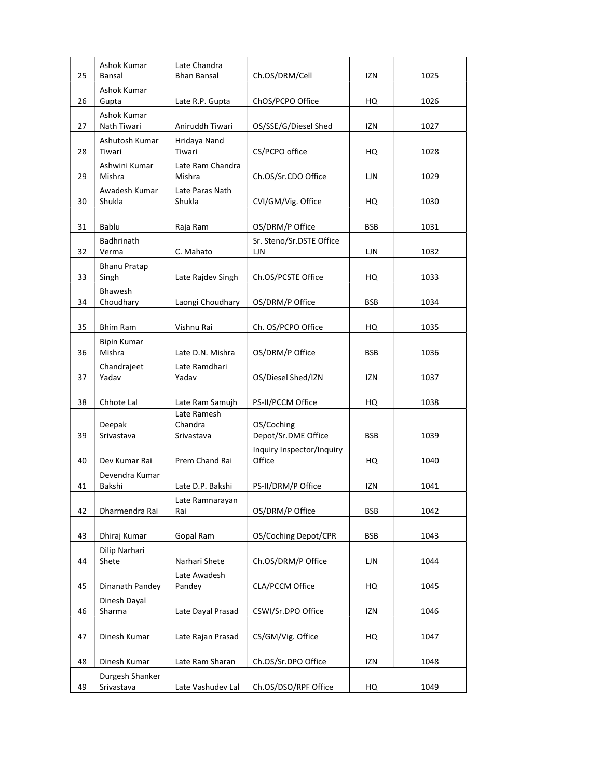|    | Ashok Kumar                   | Late Chandra               |                                   |            |      |
|----|-------------------------------|----------------------------|-----------------------------------|------------|------|
| 25 | Bansal                        | <b>Bhan Bansal</b>         | Ch.OS/DRM/Cell                    | IZN        | 1025 |
| 26 | Ashok Kumar<br>Gupta          | Late R.P. Gupta            | ChOS/PCPO Office                  | HQ         | 1026 |
|    | Ashok Kumar                   |                            |                                   |            |      |
| 27 | Nath Tiwari                   | Aniruddh Tiwari            | OS/SSE/G/Diesel Shed              | <b>IZN</b> | 1027 |
|    | Ashutosh Kumar                | Hridaya Nand               |                                   |            |      |
| 28 | Tiwari                        | Tiwari                     | CS/PCPO office                    | HQ         | 1028 |
| 29 | Ashwini Kumar<br>Mishra       | Late Ram Chandra<br>Mishra | Ch.OS/Sr.CDO Office               | LJN        | 1029 |
| 30 | Awadesh Kumar<br>Shukla       | Late Paras Nath<br>Shukla  | CVI/GM/Vig. Office                | HQ         | 1030 |
| 31 | Bablu                         | Raja Ram                   | OS/DRM/P Office                   | <b>BSB</b> | 1031 |
| 32 | Badhrinath<br>Verma           | C. Mahato                  | Sr. Steno/Sr.DSTE Office<br>LJN   | LJN        | 1032 |
| 33 | <b>Bhanu Pratap</b><br>Singh  | Late Rajdev Singh          | Ch.OS/PCSTE Office                | HQ         | 1033 |
|    | Bhawesh                       |                            |                                   |            |      |
| 34 | Choudhary                     | Laongi Choudhary           | OS/DRM/P Office                   | <b>BSB</b> | 1034 |
| 35 | <b>Bhim Ram</b>               | Vishnu Rai                 | Ch. OS/PCPO Office                | HQ         | 1035 |
|    | <b>Bipin Kumar</b>            |                            |                                   |            |      |
| 36 | Mishra                        | Late D.N. Mishra           | OS/DRM/P Office                   | <b>BSB</b> | 1036 |
|    | Chandrajeet<br>Yadav          | Late Ramdhari<br>Yadav     |                                   |            |      |
| 37 |                               |                            | OS/Diesel Shed/IZN                | IZN        | 1037 |
| 38 | Chhote Lal                    | Late Ram Samujh            | PS-II/PCCM Office                 | HQ         | 1038 |
|    |                               | Late Ramesh                |                                   |            |      |
| 39 | Deepak<br>Srivastava          | Chandra<br>Srivastava      | OS/Coching<br>Depot/Sr.DME Office | <b>BSB</b> | 1039 |
|    |                               |                            | Inquiry Inspector/Inquiry         |            |      |
| 40 | Dev Kumar Rai                 | Prem Chand Rai             | Office                            | HQ         | 1040 |
|    | Devendra Kumar                |                            |                                   |            |      |
| 41 | Bakshi                        | Late D.P. Bakshi           | PS-II/DRM/P Office                | IZN        | 1041 |
| 42 | Dharmendra Rai                | Late Ramnarayan<br>Rai     | OS/DRM/P Office                   | <b>BSB</b> | 1042 |
|    |                               |                            |                                   |            |      |
| 43 | Dhiraj Kumar                  | Gopal Ram                  | OS/Coching Depot/CPR              | <b>BSB</b> | 1043 |
| 44 | Dilip Narhari<br>Shete        | Narhari Shete              | Ch.OS/DRM/P Office                | LJN        | 1044 |
| 45 | Dinanath Pandey               | Late Awadesh<br>Pandey     | CLA/PCCM Office                   | HQ         | 1045 |
| 46 | Dinesh Dayal<br>Sharma        | Late Dayal Prasad          | CSWI/Sr.DPO Office                | IZN        | 1046 |
| 47 | Dinesh Kumar                  | Late Rajan Prasad          | CS/GM/Vig. Office                 | HQ         | 1047 |
|    |                               |                            |                                   |            |      |
| 48 | Dinesh Kumar                  | Late Ram Sharan            | Ch.OS/Sr.DPO Office               | IZN        | 1048 |
| 49 | Durgesh Shanker<br>Srivastava | Late Vashudev Lal          | Ch.OS/DSO/RPF Office              |            | 1049 |
|    |                               |                            |                                   | HQ         |      |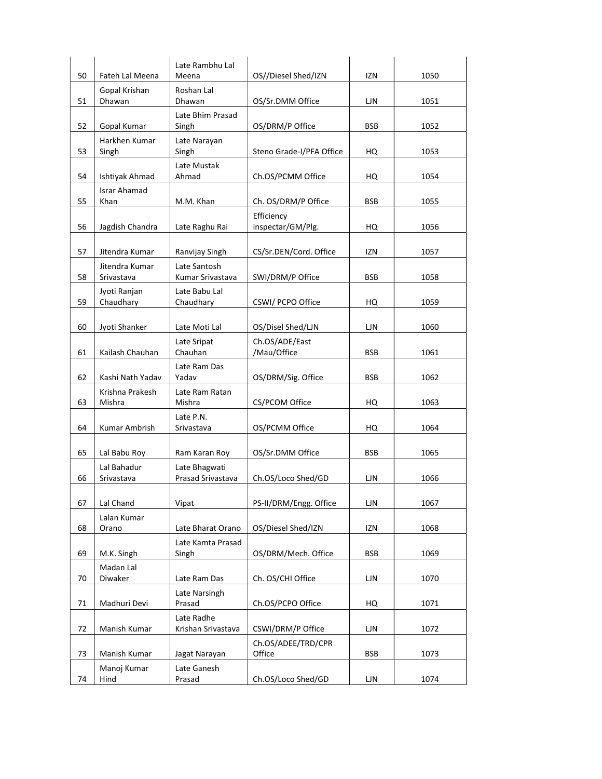|    |                             | Late Rambhu Lal                  |                          |            |      |
|----|-----------------------------|----------------------------------|--------------------------|------------|------|
| 50 | <b>Fateh Lal Meena</b>      | Meena                            | OS//Diesel Shed/IZN      | IZN        | 1050 |
| 51 | Gopal Krishan<br>Dhawan     | Roshan Lal<br>Dhawan             | OS/Sr.DMM Office         | LJN.       | 1051 |
|    |                             | Late Bhim Prasad                 |                          |            |      |
| 52 | Gopal Kumar                 | Singh                            | OS/DRM/P Office          | <b>BSB</b> | 1052 |
|    | Harkhen Kumar               | Late Narayan                     |                          |            |      |
| 53 | Singh                       | Singh                            | Steno Grade-I/PFA Office | HQ         | 1053 |
|    |                             | Late Mustak                      |                          |            |      |
| 54 | Ishtiyak Ahmad              | Ahmad                            | Ch.OS/PCMM Office        | HQ         | 1054 |
| 55 | <b>Israr Ahamad</b><br>Khan | M.M. Khan                        | Ch. OS/DRM/P Office      | <b>BSB</b> | 1055 |
|    |                             |                                  | Efficiency               |            |      |
| 56 | Jagdish Chandra             | Late Raghu Rai                   | inspectar/GM/Plg.        | HQ         | 1056 |
|    |                             |                                  |                          |            |      |
| 57 | Jitendra Kumar              | Ranvijay Singh                   | CS/Sr.DEN/Cord. Office   | IZN        | 1057 |
|    | Jitendra Kumar              | Late Santosh                     |                          |            |      |
| 58 | Srivastava                  | Kumar Srivastava                 | SWI/DRM/P Office         | <b>BSB</b> | 1058 |
| 59 | Jyoti Ranjan<br>Chaudhary   | Late Babu Lal<br>Chaudhary       | CSWI/ PCPO Office        | HQ         | 1059 |
|    |                             |                                  |                          |            |      |
| 60 | Jyoti Shanker               | Late Moti Lal                    | OS/Disel Shed/LJN        | LJN        | 1060 |
|    |                             | Late Sripat                      | Ch.OS/ADE/East           |            |      |
| 61 | Kailash Chauhan             | Chauhan                          | /Mau/Office              | <b>BSB</b> | 1061 |
|    |                             | Late Ram Das                     |                          |            |      |
| 62 | Kashi Nath Yadav            | Yadav                            | OS/DRM/Sig. Office       | <b>BSB</b> | 1062 |
| 63 | Krishna Prakesh<br>Mishra   | Late Ram Ratan<br>Mishra         | CS/PCOM Office           | HQ         | 1063 |
|    |                             | Late P.N.                        |                          |            |      |
| 64 | Kumar Ambrish               | Srivastava                       | OS/PCMM Office           | HQ         | 1064 |
|    |                             |                                  |                          |            |      |
| 65 | Lal Babu Roy                | Ram Karan Roy                    | OS/Sr.DMM Office         | <b>BSB</b> | 1065 |
|    | Lal Bahadur                 | Late Bhagwati                    |                          |            |      |
| 66 | Srivastava                  | <b>Prasad Srivastava</b>         | Ch.OS/Loco Shed/GD       | LJN        | 1066 |
| 67 | Lal Chand                   | Vipat                            | PS-II/DRM/Engg. Office   | LJN        | 1067 |
|    | Lalan Kumar                 |                                  |                          |            |      |
| 68 | Orano                       | Late Bharat Orano                | OS/Diesel Shed/IZN       | IZN        | 1068 |
|    |                             | Late Kamta Prasad                |                          |            |      |
| 69 | M.K. Singh                  | Singh                            | OS/DRM/Mech. Office      | <b>BSB</b> | 1069 |
|    | Madan Lal                   |                                  |                          |            |      |
| 70 | Diwaker                     | Late Ram Das                     | Ch. OS/CHI Office        | LJN        | 1070 |
| 71 | Madhuri Devi                | Late Narsingh<br>Prasad          | Ch.OS/PCPO Office        | HQ         | 1071 |
| 72 | Manish Kumar                | Late Radhe<br>Krishan Srivastava | CSWI/DRM/P Office        | LJN        | 1072 |
|    |                             |                                  | Ch.OS/ADEE/TRD/CPR       |            |      |
| 73 | Manish Kumar                | Jagat Narayan                    | Office                   | <b>BSB</b> | 1073 |
|    | Manoj Kumar                 | Late Ganesh                      |                          |            |      |
| 74 | Hind                        | Prasad                           | Ch.OS/Loco Shed/GD       | LJN        | 1074 |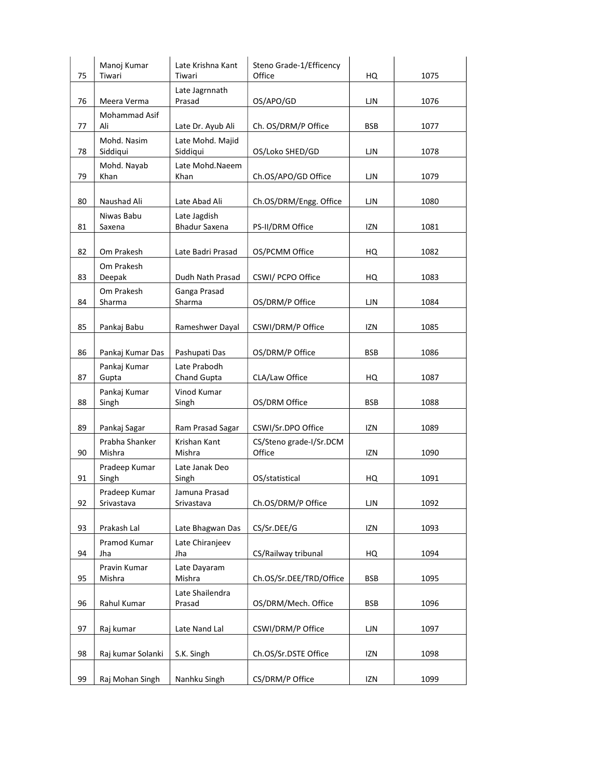| 75 | Manoj Kumar<br>Tiwari       | Late Krishna Kant<br>Tiwari          | Steno Grade-1/Efficency<br>Office | HQ         | 1075 |
|----|-----------------------------|--------------------------------------|-----------------------------------|------------|------|
| 76 | Meera Verma                 | Late Jagrnnath<br>Prasad             | OS/APO/GD                         | ЦN         | 1076 |
| 77 | Mohammad Asif<br>Ali        | Late Dr. Ayub Ali                    | Ch. OS/DRM/P Office               | <b>BSB</b> | 1077 |
| 78 | Mohd. Nasim<br>Siddiqui     | Late Mohd. Majid<br>Siddiqui         | OS/Loko SHED/GD                   | LJN        | 1078 |
| 79 | Mohd. Nayab<br>Khan         | Late Mohd.Naeem<br>Khan              | Ch.OS/APO/GD Office               | LJN        | 1079 |
| 80 | Naushad Ali                 | Late Abad Ali                        | Ch.OS/DRM/Engg. Office            | LJN        | 1080 |
| 81 | Niwas Babu<br>Saxena        | Late Jagdish<br><b>Bhadur Saxena</b> | PS-II/DRM Office                  | IZN        | 1081 |
| 82 | Om Prakesh                  | Late Badri Prasad                    | OS/PCMM Office                    | HQ         | 1082 |
| 83 | Om Prakesh<br>Deepak        | Dudh Nath Prasad                     | CSWI/ PCPO Office                 | HQ         | 1083 |
| 84 | Om Prakesh<br>Sharma        | Ganga Prasad<br>Sharma               | OS/DRM/P Office                   | LJN        | 1084 |
| 85 | Pankaj Babu                 | Rameshwer Dayal                      | CSWI/DRM/P Office                 | izn        | 1085 |
| 86 | Pankaj Kumar Das            | Pashupati Das                        | OS/DRM/P Office                   | BSB        | 1086 |
| 87 | Pankaj Kumar<br>Gupta       | Late Prabodh<br>Chand Gupta          | CLA/Law Office                    | HQ         | 1087 |
| 88 | Pankaj Kumar<br>Singh       | Vinod Kumar<br>Singh                 | OS/DRM Office                     | BSB        | 1088 |
| 89 | Pankaj Sagar                | Ram Prasad Sagar                     | CSWI/Sr.DPO Office                | IZN        | 1089 |
| 90 | Prabha Shanker<br>Mishra    | Krishan Kant<br>Mishra               | CS/Steno grade-I/Sr.DCM<br>Office | IZN        | 1090 |
| 91 | Pradeep Kumar<br>Singh      | Late Janak Deo<br>Singh              | OS/statistical                    | HQ         | 1091 |
| 92 | Pradeep Kumar<br>Srivastava | Jamuna Prasad<br>Srivastava          | Ch.OS/DRM/P Office                | LJN        | 1092 |
| 93 | Prakash Lal                 | Late Bhagwan Das                     | CS/Sr.DEE/G                       | IZN        | 1093 |
| 94 | Pramod Kumar<br>Jha         | Late Chiranjeev<br>Jha               | CS/Railway tribunal               | HQ         | 1094 |
| 95 | Pravin Kumar<br>Mishra      | Late Dayaram<br>Mishra               | Ch.OS/Sr.DEE/TRD/Office           | BSB        | 1095 |
| 96 | Rahul Kumar                 | Late Shailendra<br>Prasad            | OS/DRM/Mech. Office               | <b>BSB</b> | 1096 |
| 97 | Raj kumar                   | Late Nand Lal                        | CSWI/DRM/P Office                 | LJN        | 1097 |
| 98 | Raj kumar Solanki           | S.K. Singh                           | Ch.OS/Sr.DSTE Office              | IZN        | 1098 |
| 99 | Raj Mohan Singh             | Nanhku Singh                         | CS/DRM/P Office                   | IZN        | 1099 |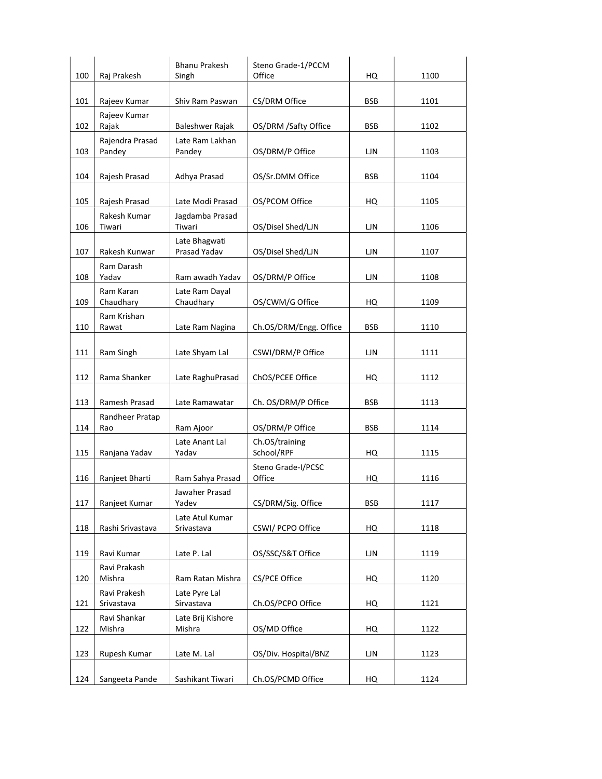|     |                            | <b>Bhanu Prakesh</b>        | Steno Grade-1/PCCM           |            |      |
|-----|----------------------------|-----------------------------|------------------------------|------------|------|
| 100 | Raj Prakesh                | Singh                       | Office                       | HQ         | 1100 |
| 101 | Rajeev Kumar               | Shiv Ram Paswan             | CS/DRM Office                | <b>BSB</b> | 1101 |
|     | Rajeev Kumar               |                             |                              |            |      |
| 102 | Rajak                      | Baleshwer Rajak             | OS/DRM /Safty Office         | <b>BSB</b> | 1102 |
| 103 | Rajendra Prasad<br>Pandey  | Late Ram Lakhan<br>Pandey   | OS/DRM/P Office              | ЦN         | 1103 |
|     |                            |                             |                              |            |      |
| 104 | Rajesh Prasad              | Adhya Prasad                | OS/Sr.DMM Office             | <b>BSB</b> | 1104 |
|     |                            |                             |                              |            |      |
| 105 | Rajesh Prasad              | Late Modi Prasad            | OS/PCOM Office               | HQ         | 1105 |
| 106 | Rakesh Kumar<br>Tiwari     | Jagdamba Prasad<br>Tiwari   | OS/Disel Shed/LJN            | LJN.       | 1106 |
|     |                            | Late Bhagwati               |                              |            |      |
| 107 | Rakesh Kunwar              | Prasad Yadav                | OS/Disel Shed/LJN            | LJN        | 1107 |
|     | Ram Darash                 |                             |                              |            |      |
| 108 | Yadav                      | Ram awadh Yadav             | OS/DRM/P Office              | <b>LJN</b> | 1108 |
|     | Ram Karan                  | Late Ram Dayal              |                              |            |      |
| 109 | Chaudhary<br>Ram Krishan   | Chaudhary                   | OS/CWM/G Office              | HQ         | 1109 |
| 110 | Rawat                      | Late Ram Nagina             | Ch.OS/DRM/Engg. Office       | <b>BSB</b> | 1110 |
|     |                            |                             |                              |            |      |
| 111 | Ram Singh                  | Late Shyam Lal              | CSWI/DRM/P Office            | LJN        | 1111 |
|     |                            |                             |                              |            |      |
| 112 | Rama Shanker               | Late RaghuPrasad            | ChOS/PCEE Office             | HQ         | 1112 |
| 113 | Ramesh Prasad              | Late Ramawatar              | Ch. OS/DRM/P Office          | BSB        | 1113 |
|     | Randheer Pratap            |                             |                              |            |      |
| 114 | Rao                        | Ram Ajoor                   | OS/DRM/P Office              | <b>BSB</b> | 1114 |
|     |                            | Late Anant Lal              | Ch.OS/training               |            |      |
| 115 | Ranjana Yadav              | Yadav                       | School/RPF                   | HQ         | 1115 |
| 116 | Ranjeet Bharti             | Ram Sahya Prasad            | Steno Grade-I/PCSC<br>Office | HQ         | 1116 |
|     |                            | Jawaher Prasad              |                              |            |      |
| 117 | Ranjeet Kumar              | Yadev                       | CS/DRM/Sig. Office           | <b>BSB</b> | 1117 |
|     |                            | Late Atul Kumar             |                              |            |      |
| 118 | Rashi Srivastava           | Srivastava                  | CSWI/ PCPO Office            | HQ         | 1118 |
| 119 | Ravi Kumar                 | Late P. Lal                 | OS/SSC/S&T Office            | LJN        | 1119 |
|     | Ravi Prakash               |                             |                              |            |      |
| 120 | Mishra                     | Ram Ratan Mishra            | CS/PCE Office                | HQ         | 1120 |
| 121 | Ravi Prakesh<br>Srivastava | Late Pyre Lal<br>Sirvastava | Ch.OS/PCPO Office            | HQ         | 1121 |
|     | Ravi Shankar               | Late Brij Kishore           |                              |            |      |
| 122 | Mishra                     | Mishra                      | OS/MD Office                 | HQ         | 1122 |
| 123 | Rupesh Kumar               | Late M. Lal                 | OS/Div. Hospital/BNZ         | LJN        | 1123 |
|     |                            |                             |                              |            |      |
| 124 | Sangeeta Pande             | Sashikant Tiwari            | Ch.OS/PCMD Office            | HQ         | 1124 |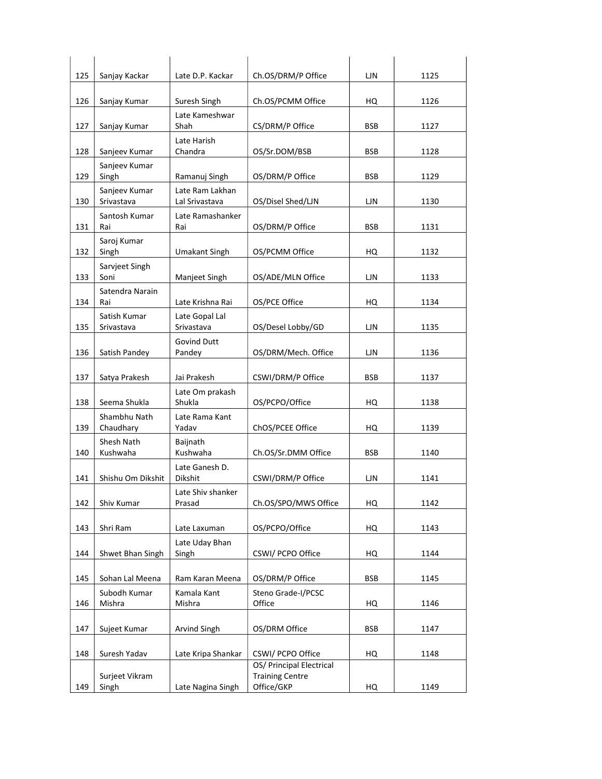| 125 | Sanjay Kackar               | Late D.P. Kackar                  | Ch.OS/DRM/P Office       | LJN        | 1125 |
|-----|-----------------------------|-----------------------------------|--------------------------|------------|------|
|     |                             |                                   |                          |            |      |
| 126 | Sanjay Kumar                | Suresh Singh                      | Ch.OS/PCMM Office        | HQ         | 1126 |
| 127 | Sanjay Kumar                | Late Kameshwar<br>Shah            | CS/DRM/P Office          | <b>BSB</b> | 1127 |
|     |                             | Late Harish                       |                          |            |      |
| 128 | Sanjeev Kumar               | Chandra                           | OS/Sr.DOM/BSB            | <b>BSB</b> | 1128 |
| 129 | Sanjeev Kumar<br>Singh      | Ramanuj Singh                     | OS/DRM/P Office          | <b>BSB</b> | 1129 |
| 130 | Sanjeev Kumar<br>Srivastava | Late Ram Lakhan<br>Lal Srivastava | OS/Disel Shed/LJN        | LJN        | 1130 |
|     | Santosh Kumar               | Late Ramashanker                  |                          |            |      |
| 131 | Rai                         | Rai                               | OS/DRM/P Office          | <b>BSB</b> | 1131 |
|     | Saroj Kumar                 |                                   |                          |            |      |
| 132 | Singh                       | <b>Umakant Singh</b>              | OS/PCMM Office           | HQ         | 1132 |
| 133 | Sarvjeet Singh<br>Soni      | Manjeet Singh                     | OS/ADE/MLN Office        | ЦN         | 1133 |
|     | Satendra Narain             |                                   |                          |            |      |
| 134 | Rai                         | Late Krishna Rai                  | OS/PCE Office            | HQ         | 1134 |
|     | Satish Kumar                | Late Gopal Lal                    |                          |            |      |
| 135 | Srivastava                  | Srivastava                        | OS/Desel Lobby/GD        | LJN        | 1135 |
| 136 | Satish Pandey               | <b>Govind Dutt</b><br>Pandey      | OS/DRM/Mech. Office      | ЦN         | 1136 |
|     |                             |                                   |                          |            |      |
| 137 | Satya Prakesh               | Jai Prakesh                       | CSWI/DRM/P Office        | <b>BSB</b> | 1137 |
| 138 | Seema Shukla                | Late Om prakash<br>Shukla         | OS/PCPO/Office           | HQ         | 1138 |
|     | Shambhu Nath                | Late Rama Kant                    |                          |            |      |
| 139 | Chaudhary                   | Yadav                             | ChOS/PCEE Office         | HQ         | 1139 |
|     | Shesh Nath                  | Baijnath                          |                          |            |      |
| 140 | Kushwaha                    | Kushwaha                          | Ch.OS/Sr.DMM Office      | <b>BSB</b> | 1140 |
| 141 | Shishu Om Dikshit           | Late Ganesh D.<br>Dikshit         | CSWI/DRM/P Office        | LJN        | 1141 |
|     |                             | Late Shiv shanker                 |                          |            |      |
| 142 | Shiv Kumar                  | Prasad                            | Ch.OS/SPO/MWS Office     | HQ         | 1142 |
| 143 | Shri Ram                    | Late Laxuman                      | OS/PCPO/Office           | HQ         | 1143 |
|     |                             | Late Uday Bhan                    |                          |            |      |
| 144 | Shwet Bhan Singh            | Singh                             | CSWI/ PCPO Office        | HQ         | 1144 |
| 145 | Sohan Lal Meena             | Ram Karan Meena                   | OS/DRM/P Office          | <b>BSB</b> | 1145 |
|     | Subodh Kumar                | Kamala Kant                       | Steno Grade-I/PCSC       |            |      |
| 146 | Mishra                      | Mishra                            | Office                   | HQ         | 1146 |
|     |                             |                                   |                          |            |      |
| 147 | Sujeet Kumar                | Arvind Singh                      | OS/DRM Office            | <b>BSB</b> | 1147 |
| 148 | Suresh Yadav                | Late Kripa Shankar                | CSWI/ PCPO Office        | HQ         | 1148 |
|     |                             |                                   | OS/ Principal Electrical |            |      |
|     | Surjeet Vikram              |                                   | <b>Training Centre</b>   |            |      |
| 149 | Singh                       | Late Nagina Singh                 | Office/GKP               | HQ         | 1149 |